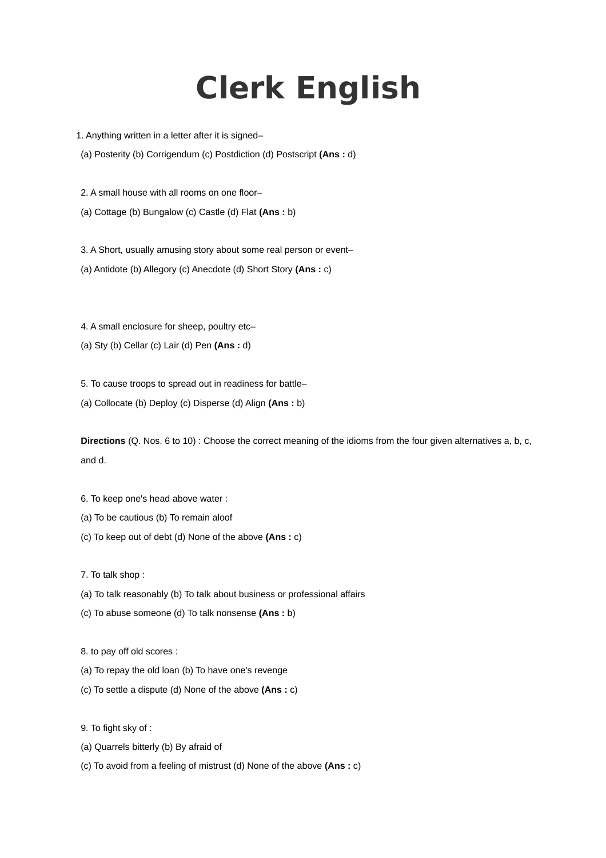## **Clerk English**

1. Anything written in a letter after it is signed–

(a) Posterity (b) Corrigendum (c) Postdiction (d) Postscript **(Ans :** d)

2. A small house with all rooms on one floor– (a) Cottage (b) Bungalow (c) Castle (d) Flat **(Ans :** b)

3. A Short, usually amusing story about some real person or event– (a) Antidote (b) Allegory (c) Anecdote (d) Short Story **(Ans :** c)

4. A small enclosure for sheep, poultry etc–

(a) Sty (b) Cellar (c) Lair (d) Pen **(Ans :** d)

5. To cause troops to spread out in readiness for battle–

(a) Collocate (b) Deploy (c) Disperse (d) Align **(Ans :** b)

**Directions** (Q. Nos. 6 to 10) : Choose the correct meaning of the idioms from the four given alternatives a, b, c, and d.

- 6. To keep one's head above water :
- (a) To be cautious (b) To remain aloof
- (c) To keep out of debt (d) None of the above **(Ans :** c)

7. To talk shop :

- (a) To talk reasonably (b) To talk about business or professional affairs
- (c) To abuse someone (d) To talk nonsense **(Ans :** b)

8. to pay off old scores :

- (a) To repay the old loan (b) To have one's revenge
- (c) To settle a dispute (d) None of the above **(Ans :** c)

9. To fight sky of :

- (a) Quarrels bitterly (b) By afraid of
- (c) To avoid from a feeling of mistrust (d) None of the above **(Ans :** c)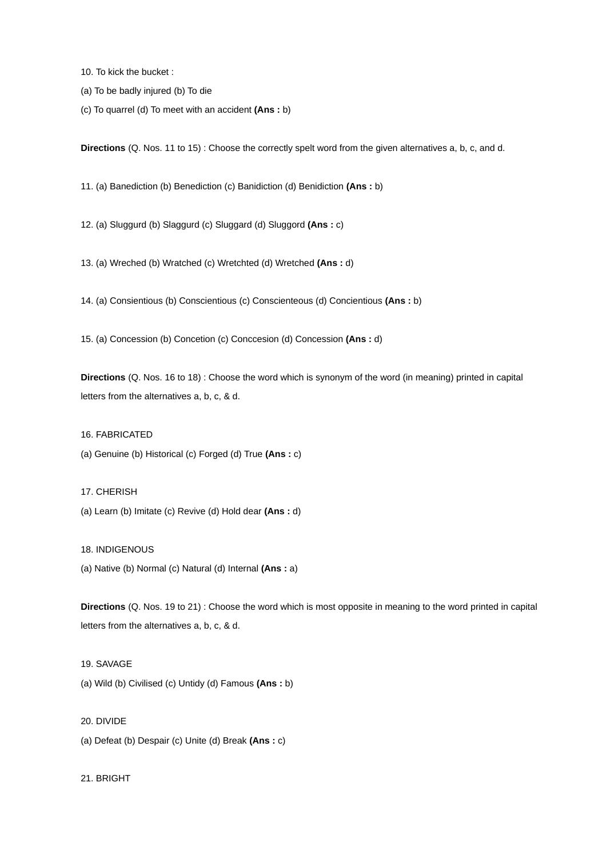10. To kick the bucket :

(a) To be badly injured (b) To die

(c) To quarrel (d) To meet with an accident **(Ans :** b)

**Directions** (Q. Nos. 11 to 15) : Choose the correctly spelt word from the given alternatives a, b, c, and d.

11. (a) Banediction (b) Benediction (c) Banidiction (d) Benidiction **(Ans :** b)

12. (a) Sluggurd (b) Slaggurd (c) Sluggard (d) Sluggord **(Ans :** c)

13. (a) Wreched (b) Wratched (c) Wretchted (d) Wretched **(Ans :** d)

14. (a) Consientious (b) Conscientious (c) Conscienteous (d) Concientious **(Ans :** b)

15. (a) Concession (b) Concetion (c) Conccesion (d) Concession **(Ans :** d)

**Directions** (Q. Nos. 16 to 18) : Choose the word which is synonym of the word (in meaning) printed in capital letters from the alternatives a, b, c, & d.

16. FABRICATED

(a) Genuine (b) Historical (c) Forged (d) True **(Ans :** c)

17. CHERISH

(a) Learn (b) Imitate (c) Revive (d) Hold dear **(Ans :** d)

18. INDIGENOUS

(a) Native (b) Normal (c) Natural (d) Internal **(Ans :** a)

**Directions** (Q. Nos. 19 to 21) : Choose the word which is most opposite in meaning to the word printed in capital letters from the alternatives a, b, c, & d.

19. SAVAGE

(a) Wild (b) Civilised (c) Untidy (d) Famous **(Ans :** b)

20. DIVIDE

(a) Defeat (b) Despair (c) Unite (d) Break **(Ans :** c)

21. BRIGHT